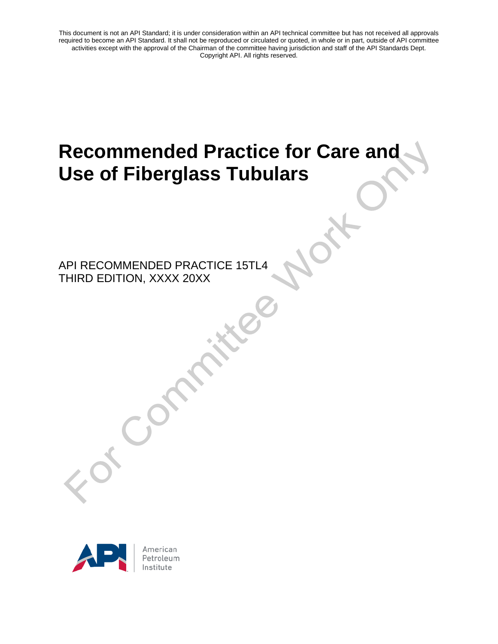# **Recommended Practice for Care and Use of Fiberglass Tubulars**

API RECOMMENDED PRACTICE 15TL4 THIRD EDITION, XXXX 20XX

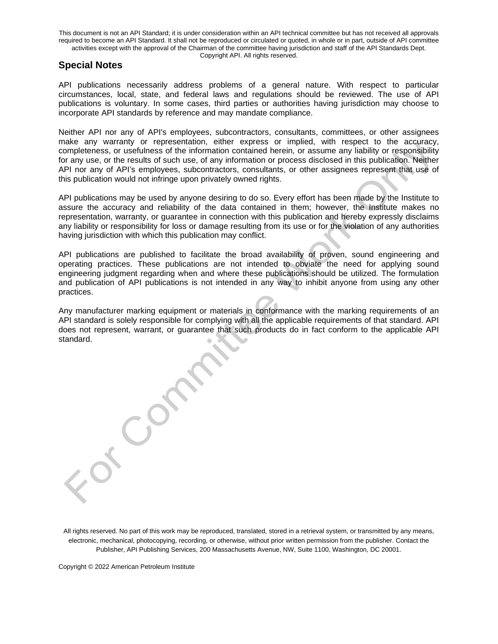# **Special Notes**

API publications necessarily address problems of a general nature. With respect to particular circumstances, local, state, and federal laws and regulations should be reviewed. The use of API publications is voluntary. In some cases, third parties or authorities having jurisdiction may choose to incorporate API standards by reference and may mandate compliance.

Neither API nor any of API's employees, subcontractors, consultants, committees, or other assignees make any warranty or representation, either express or implied, with respect to the accuracy, completeness, or usefulness of the information contained herein, or assume any liability or responsibility for any use, or the results of such use, of any information or process disclosed in this publication. Neither API nor any of API's employees, subcontractors, consultants, or other assignees represent that use of this publication would not infringe upon privately owned rights.

API publications may be used by anyone desiring to do so. Every effort has been made by the Institute to assure the accuracy and reliability of the data contained in them; however, the Institute makes no representation, warranty, or guarantee in connection with this publication and hereby expressly disclaims any liability or responsibility for loss or damage resulting from its use or for the violation of any authorities having jurisdiction with which this publication may conflict.

API publications are published to facilitate the broad availability of proven, sound engineering and operating practices. These publications are not intended to obviate the need for applying sound engineering judgment regarding when and where these publications should be utilized. The formulation and publication of API publications is not intended in any way to inhibit anyone from using any other practices.

Any manufacturer marking equipment or materials in conformance with the marking requirements of an API standard is solely responsible for complying with all the applicable requirements of that standard. API does not represent, warrant, or guarantee that such products do in fact conform to the applicable API standard.

All rights reserved. No part of this work may be reproduced, translated, stored in a retrieval system, or transmitted by any means, electronic, mechanical, photocopying, recording, or otherwise, without prior written permission from the publisher. Contact the Publisher, API Publishing Services, 200 Massachusetts Avenue, NW, Suite 1100, Washington, DC 20001.

Copyright © 2022 American Petroleum Institute

of Cone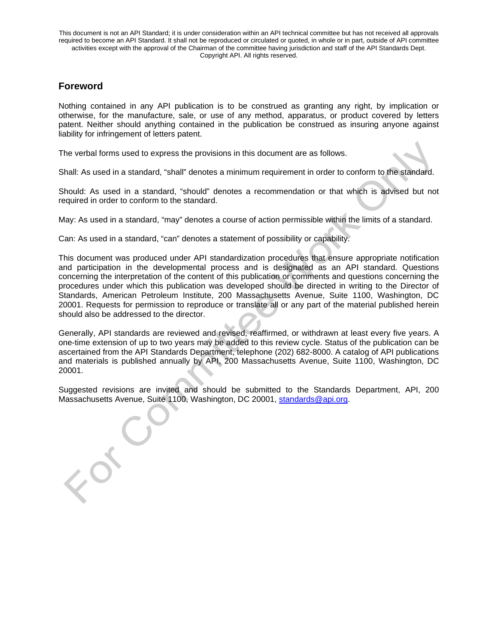# **Foreword**

Nothing contained in any API publication is to be construed as granting any right, by implication or otherwise, for the manufacture, sale, or use of any method, apparatus, or product covered by letters patent. Neither should anything contained in the publication be construed as insuring anyone against liability for infringement of letters patent.

The verbal forms used to express the provisions in this document are as follows.

Shall: As used in a standard, "shall" denotes a minimum requirement in order to conform to the standard.

Should: As used in a standard, "should" denotes a recommendation or that which is advised but not required in order to conform to the standard.

May: As used in a standard, "may" denotes a course of action permissible within the limits of a standard.

Can: As used in a standard, "can" denotes a statement of possibility or capability.

This document was produced under API standardization procedures that ensure appropriate notification and participation in the developmental process and is designated as an API standard. Questions concerning the interpretation of the content of this publication or comments and questions concerning the procedures under which this publication was developed should be directed in writing to the Director of Standards, American Petroleum Institute, 200 Massachusetts Avenue, Suite 1100, Washington, DC 20001. Requests for permission to reproduce or translate all or any part of the material published herein should also be addressed to the director.

Generally, API standards are reviewed and revised, reaffirmed, or withdrawn at least every five years. A one-time extension of up to two years may be added to this review cycle. Status of the publication can be ascertained from the API Standards Department, telephone (202) 682-8000. A catalog of API publications and materials is published annually by API, 200 Massachusetts Avenue, Suite 1100, Washington, DC 20001.

Suggested revisions are invited and should be submitted to the Standards Department, API, 200 Massachusetts Avenue, Suite 1100, Washington, DC 20001, [standards@api.org.](mailto:standards@api.org)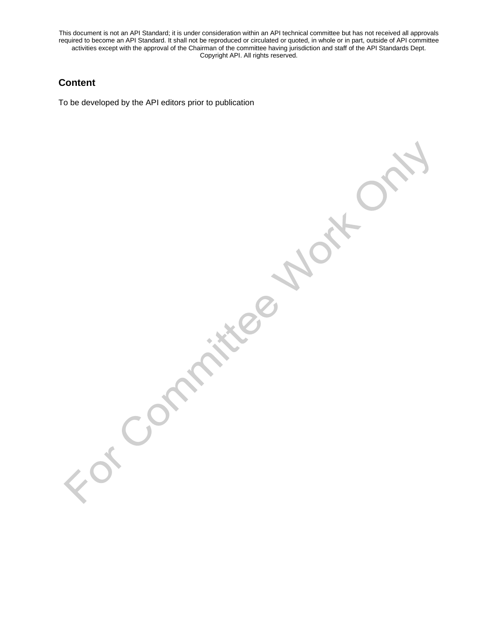# **Content**

To be developed by the API editors prior to publication

Not On **Prince Not** For Committee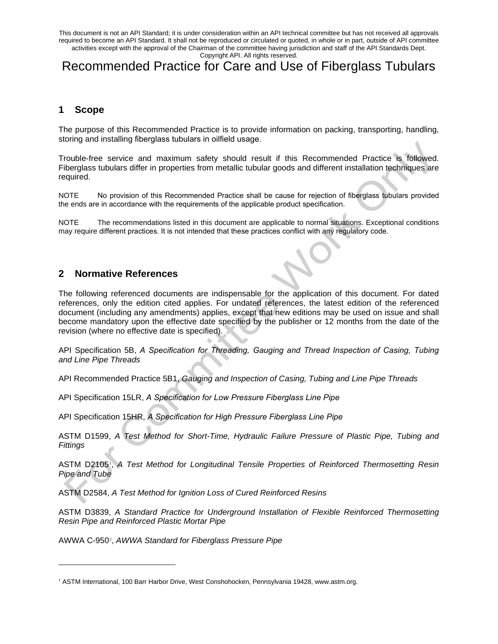# Recommended Practice for Care and Use of Fiberglass Tubulars

# **1 Scope**

The purpose of this Recommended Practice is to provide information on packing, transporting, handling, storing and installing fiberglass tubulars in oilfield usage.

Trouble-free service and maximum safety should result if this Recommended Practice is followed. Fiberglass tubulars differ in properties from metallic tubular goods and different installation techniques are required.

NOTE No provision of this Recommended Practice shall be cause for rejection of fiberglass tubulars provided the ends are in accordance with the requirements of the applicable product specification.

NOTE The recommendations listed in this document are applicable to normal situations. Exceptional conditions may require different practices. It is not intended that these practices conflict with any regulatory code.

# **2 Normative References**

The following referenced documents are indispensable for the application of this document. For dated references, only the edition cited applies. For undated references, the latest edition of the referenced document (including any amendments) applies, except that new editions may be used on issue and shall become mandatory upon the effective date specified by the publisher or 12 months from the date of the revision (where no effective date is specified).

API Specification 5B, *A Specification for Threading, Gauging and Thread Inspection of Casing, Tubing and Line Pipe Threads*

API Recommended Practice 5B1, *Gauging and Inspection of Casing, Tubing and Line Pipe Threads*

API Specification 15LR, *A Specification for Low Pressure Fiberglass Line Pipe*

API Specification 15HR, *A Specification for High Pressure Fiberglass Line Pipe*

ASTM D1599, *A Test Method for Short-Time, Hydraulic Failure Pressure of Plastic Pipe, Tubing and Fittings*

ASTM D2105[1](#page-4-0) , *A Test Method for Longitudinal Tensile Properties of Reinforced Thermosetting Resin Pipe and Tube*

ASTM D2584, *A Test Method for Ignition Loss of Cured Reinforced Resins*

ASTM D3839, *A Standard Practice for Underground Installation of Flexible Reinforced Thermosetting Resin Pipe and Reinforced Plastic Mortar Pipe*

AWWA C-950[2](#page-4-0) , *AWWA Standard for Fiberglass Pressure Pipe*

<span id="page-4-0"></span><sup>&</sup>lt;sup>1</sup> ASTM International, 100 Barr Harbor Drive, West Conshohocken, Pennsylvania 19428, www.astm.org.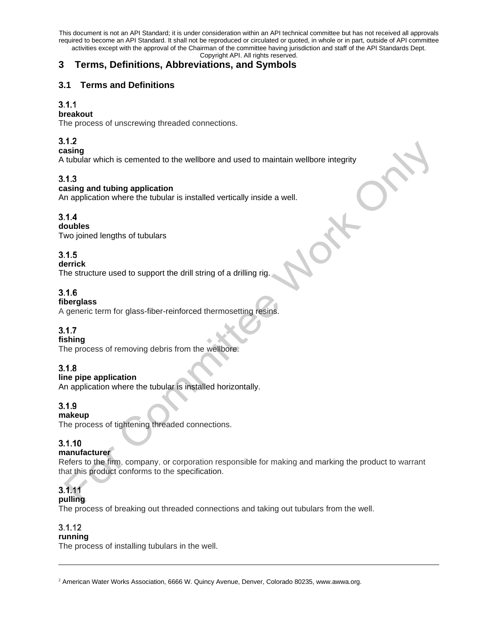Copyright API. All rights reserved.

# **3 Terms, Definitions, Abbreviations, and Symbols**

# **3.1 Terms and Definitions**

# $3.1.1$

# **breakout**

The process of unscrewing threaded connections.

# $3.1.2$

#### **casing**

A tubular which is cemented to the wellbore and used to maintain wellbore integrity

# $3.1.3$

# **casing and tubing application**

An application where the tubular is installed vertically inside a well.

# $3.1.4$

#### **doubles**

Two joined lengths of tubulars

# $3.1.5$

**derrick**

The structure used to support the drill string of a drilling rig.

# $3.1.6$

# **fiberglass**

A generic term for glass-fiber-reinforced thermosetting resins.

# $3.1.7$

#### **fishing**

The process of removing debris from the wellbore.

# $3.1.8$

# **line pipe application**

An application where the tubular is installed horizontally.

# $3.1.9$

**makeup** The process of tightening threaded connections.

# $3.1.10$

# **manufacturer**

Refers to the firm, company, or corporation responsible for making and marking the product to warrant that this product conforms to the specification.

# $3.1.11$

# **pulling**

The process of breaking out threaded connections and taking out tubulars from the well.

#### $3.1.12$ **running**

The process of installing tubulars in the well.

<sup>2</sup> American Water Works Association, 6666 W. Quincy Avenue, Denver, Colorado 80235, www.awwa.org.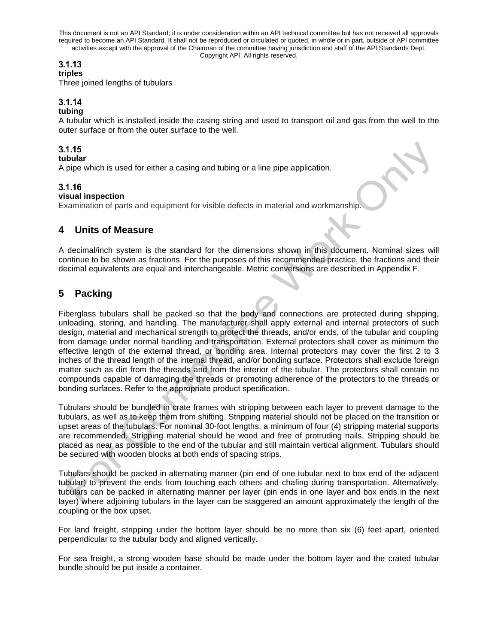# $3.1.13$

#### **triples**

Three joined lengths of tubulars

# $3.1.14$

#### **tubing**

A tubular which is installed inside the casing string and used to transport oil and gas from the well to the outer surface or from the outer surface to the well.

# $3.1.15$

# **tubular**

A pipe which is used for either a casing and tubing or a line pipe application.

#### $3.1.16$

#### **visual inspection**

Examination of parts and equipment for visible defects in material and workmanship.

# **4 Units of Measure**

A decimal/inch system is the standard for the dimensions shown in this document. Nominal sizes will continue to be shown as fractions. For the purposes of this recommended practice, the fractions and their decimal equivalents are equal and interchangeable. Metric conversions are described in Appendix F.

# **5 Packing**

Fiberglass tubulars shall be packed so that the body and connections are protected during shipping, unloading, storing, and handling. The manufacturer shall apply external and internal protectors of such design, material and mechanical strength to protect the threads, and/or ends, of the tubular and coupling from damage under normal handling and transportation. External protectors shall cover as minimum the effective length of the external thread, or bonding area. Internal protectors may cover the first 2 to 3 inches of the thread length of the internal thread, and/or bonding surface. Protectors shall exclude foreign matter such as dirt from the threads and from the interior of the tubular. The protectors shall contain no compounds capable of damaging the threads or promoting adherence of the protectors to the threads or bonding surfaces. Refer to the appropriate product specification.

Tubulars should be bundled in crate frames with stripping between each layer to prevent damage to the tubulars, as well as to keep them from shifting. Stripping material should not be placed on the transition or upset areas of the tubulars. For nominal 30-foot lengths, a minimum of four (4) stripping material supports are recommended. Stripping material should be wood and free of protruding nails. Stripping should be placed as near as possible to the end of the tubular and still maintain vertical alignment. Tubulars should be secured with wooden blocks at both ends of spacing strips.

Tubulars should be packed in alternating manner (pin end of one tubular next to box end of the adjacent tubular) to prevent the ends from touching each others and chafing during transportation. Alternatively, tubulars can be packed in alternating manner per layer (pin ends in one layer and box ends in the next layer) where adjoining tubulars in the layer can be staggered an amount approximately the length of the coupling or the box upset.

For land freight, stripping under the bottom layer should be no more than six (6) feet apart, oriented perpendicular to the tubular body and aligned vertically.

For sea freight, a strong wooden base should be made under the bottom layer and the crated tubular bundle should be put inside a container.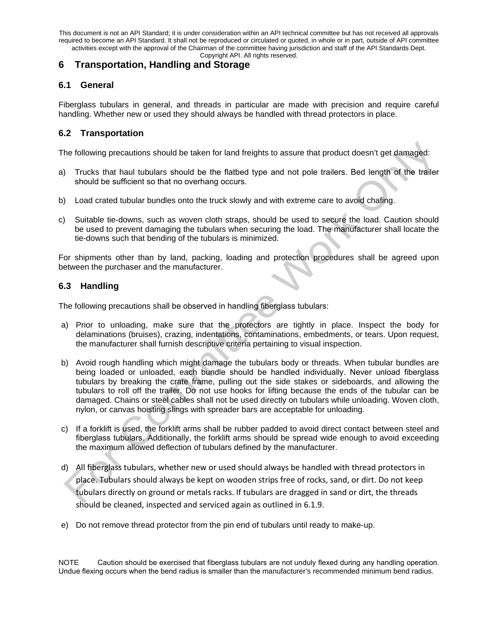# **6 Transportation, Handling and Storage**

# **6.1 General**

Fiberglass tubulars in general, and threads in particular are made with precision and require careful handling. Whether new or used they should always be handled with thread protectors in place.

# **6.2 Transportation**

The following precautions should be taken for land freights to assure that product doesn't get damaged:

- a) Trucks that haul tubulars should be the flatbed type and not pole trailers. Bed length of the trailer should be sufficient so that no overhang occurs.
- b) Load crated tubular bundles onto the truck slowly and with extreme care to avoid chafing.
- c) Suitable tie-downs, such as woven cloth straps, should be used to secure the load. Caution should be used to prevent damaging the tubulars when securing the load. The manufacturer shall locate the tie-downs such that bending of the tubulars is minimized.

For shipments other than by land, packing, loading and protection procedures shall be agreed upon between the purchaser and the manufacturer.

#### **6.3 Handling**

The following precautions shall be observed in handling fiberglass tubulars:

- a) Prior to unloading, make sure that the protectors are tightly in place. Inspect the body for delaminations (bruises), crazing, indentations, contaminations, embedments, or tears. Upon request, the manufacturer shall furnish descriptive criteria pertaining to visual inspection.
- b) Avoid rough handling which might damage the tubulars body or threads. When tubular bundles are being loaded or unloaded, each bundle should be handled individually. Never unload fiberglass tubulars by breaking the crate frame, pulling out the side stakes or sideboards, and allowing the tubulars to roll off the trailer. Do not use hooks for lifting because the ends of the tubular can be damaged. Chains or steel cables shall not be used directly on tubulars while unloading. Woven cloth, nylon, or canvas hoisting slings with spreader bars are acceptable for unloading.
- c) If a forklift is used, the forklift arms shall be rubber padded to avoid direct contact between steel and fiberglass tubulars. Additionally, the forklift arms should be spread wide enough to avoid exceeding the maximum allowed deflection of tubulars defined by the manufacturer.
- d) All fiberglass tubulars, whether new or used should always be handled with thread protectors in place. Tubulars should always be kept on wooden strips free of rocks, sand, or dirt. Do not keep tubulars directly on ground or metals racks. If tubulars are dragged in sand or dirt, the threads should be cleaned, inspected and serviced again as outlined in 6.1.9.
- e) Do not remove thread protector from the pin end of tubulars until ready to make-up.

NOTE Caution should be exercised that fiberglass tubulars are not unduly flexed during any handling operation. Undue flexing occurs when the bend radius is smaller than the manufacturer's recommended minimum bend radius.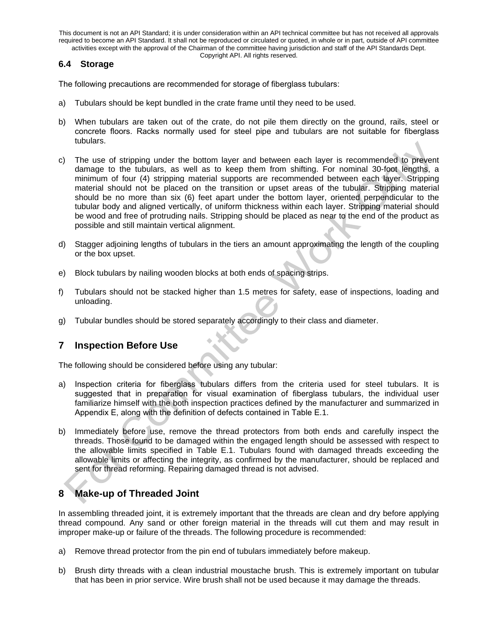#### **6.4 Storage**

The following precautions are recommended for storage of fiberglass tubulars:

- a) Tubulars should be kept bundled in the crate frame until they need to be used.
- b) When tubulars are taken out of the crate, do not pile them directly on the ground, rails, steel or concrete floors. Racks normally used for steel pipe and tubulars are not suitable for fiberglass tubulars.
- c) The use of stripping under the bottom layer and between each layer is recommended to prevent damage to the tubulars, as well as to keep them from shifting. For nominal 30-foot lengths, a minimum of four (4) stripping material supports are recommended between each layer. Stripping material should not be placed on the transition or upset areas of the tubular. Stripping material should be no more than six (6) feet apart under the bottom layer, oriented perpendicular to the tubular body and aligned vertically, of uniform thickness within each layer. Stripping material should be wood and free of protruding nails. Stripping should be placed as near to the end of the product as possible and still maintain vertical alignment.
- d) Stagger adjoining lengths of tubulars in the tiers an amount approximating the length of the coupling or the box upset.
- e) Block tubulars by nailing wooden blocks at both ends of spacing strips.
- f) Tubulars should not be stacked higher than 1.5 metres for safety, ease of inspections, loading and unloading.
- g) Tubular bundles should be stored separately accordingly to their class and diameter.

# **7 Inspection Before Use**

The following should be considered before using any tubular:

- a) Inspection criteria for fiberglass tubulars differs from the criteria used for steel tubulars. It is suggested that in preparation for visual examination of fiberglass tubulars, the individual user familiarize himself with the both inspection practices defined by the manufacturer and summarized in Appendix E, along with the definition of defects contained in Table E.1.
- b) Immediately before use, remove the thread protectors from both ends and carefully inspect the threads. Those found to be damaged within the engaged length should be assessed with respect to the allowable limits specified in Table E.1. Tubulars found with damaged threads exceeding the allowable limits or affecting the integrity, as confirmed by the manufacturer, should be replaced and sent for thread reforming. Repairing damaged thread is not advised.

# <span id="page-8-0"></span>**8 Make-up of Threaded Joint**

In assembling threaded joint, it is extremely important that the threads are clean and dry before applying thread compound. Any sand or other foreign material in the threads will cut them and may result in improper make-up or failure of the threads. The following procedure is recommended:

- a) Remove thread protector from the pin end of tubulars immediately before makeup.
- b) Brush dirty threads with a clean industrial moustache brush. This is extremely important on tubular that has been in prior service. Wire brush shall not be used because it may damage the threads.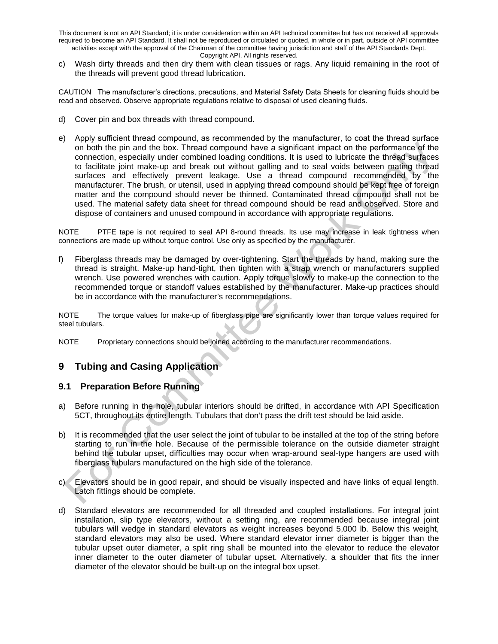c) Wash dirty threads and then dry them with clean tissues or rags. Any liquid remaining in the root of the threads will prevent good thread lubrication.

CAUTION The manufacturer's directions, precautions, and Material Safety Data Sheets for cleaning fluids should be read and observed. Observe appropriate regulations relative to disposal of used cleaning fluids.

- d) Cover pin and box threads with thread compound.
- e) Apply sufficient thread compound, as recommended by the manufacturer, to coat the thread surface on both the pin and the box. Thread compound have a significant impact on the performance of the connection, especially under combined loading conditions. It is used to lubricate the thread surfaces to facilitate joint make-up and break out without galling and to seal voids between mating thread surfaces and effectively prevent leakage. Use a thread compound recommended by the manufacturer. The brush, or utensil, used in applying thread compound should be kept free of foreign matter and the compound should never be thinned. Contaminated thread compound shall not be used. The material safety data sheet for thread compound should be read and observed. Store and dispose of containers and unused compound in accordance with appropriate regulations.

NOTE PTFE tape is not required to seal API 8-round threads. Its use may increase in leak tightness when connections are made up without torque control. Use only as specified by the manufacturer.

f) Fiberglass threads may be damaged by over-tightening. Start the threads by hand, making sure the thread is straight. Make-up hand-tight, then tighten with a strap wrench or manufacturers supplied wrench. Use powered wrenches with caution. Apply torque slowly to make-up the connection to the recommended torque or standoff values established by the manufacturer. Make-up practices should be in accordance with the manufacturer's recommendations.

NOTE The torque values for make-up of fiberglass pipe are significantly lower than torque values required for steel tubulars.

NOTE Proprietary connections should be joined according to the manufacturer recommendations.

# **9 Tubing and Casing Application**

#### **9.1 Preparation Before Running**

- a) Before running in the hole, tubular interiors should be drifted, in accordance with API Specification 5CT, throughout its entire length. Tubulars that don't pass the drift test should be laid aside.
- b) It is recommended that the user select the joint of tubular to be installed at the top of the string before starting to run in the hole. Because of the permissible tolerance on the outside diameter straight behind the tubular upset, difficulties may occur when wrap-around seal-type hangers are used with fiberglass tubulars manufactured on the high side of the tolerance.
- c) Elevators should be in good repair, and should be visually inspected and have links of equal length. Latch fittings should be complete.
- d) Standard elevators are recommended for all threaded and coupled installations. For integral joint installation, slip type elevators, without a setting ring, are recommended because integral joint tubulars will wedge in standard elevators as weight increases beyond 5,000 lb. Below this weight, standard elevators may also be used. Where standard elevator inner diameter is bigger than the tubular upset outer diameter, a split ring shall be mounted into the elevator to reduce the elevator inner diameter to the outer diameter of tubular upset. Alternatively, a shoulder that fits the inner diameter of the elevator should be built-up on the integral box upset.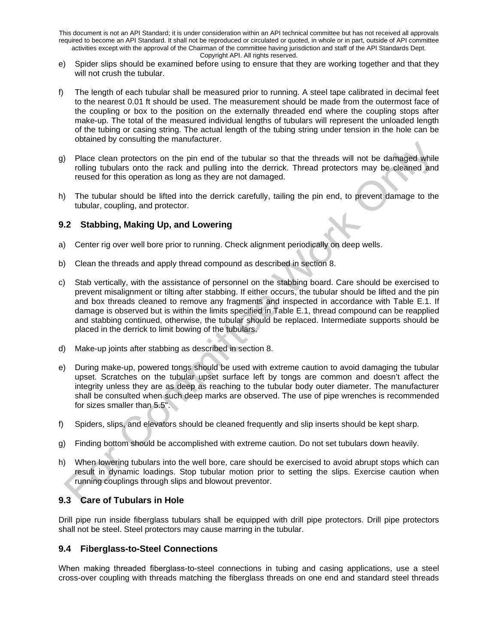- e) Spider slips should be examined before using to ensure that they are working together and that they will not crush the tubular.
- f) The length of each tubular shall be measured prior to running. A steel tape calibrated in decimal feet to the nearest 0.01 ft should be used. The measurement should be made from the outermost face of the coupling or box to the position on the externally threaded end where the coupling stops after make-up. The total of the measured individual lengths of tubulars will represent the unloaded length of the tubing or casing string. The actual length of the tubing string under tension in the hole can be obtained by consulting the manufacturer.
- g) Place clean protectors on the pin end of the tubular so that the threads will not be damaged while rolling tubulars onto the rack and pulling into the derrick. Thread protectors may be cleaned and reused for this operation as long as they are not damaged.
- h) The tubular should be lifted into the derrick carefully, tailing the pin end, to prevent damage to the tubular, coupling, and protector.

#### **9.2 Stabbing, Making Up, and Lowering**

- a) Center rig over well bore prior to running. Check alignment periodically on deep wells.
- b) Clean the threads and apply thread compound as described in section [8.](#page-8-0)
- c) Stab vertically, with the assistance of personnel on the stabbing board. Care should be exercised to prevent misalignment or tilting after stabbing. If either occurs, the tubular should be lifted and the pin and box threads cleaned to remove any fragments and inspected in accordance with Table E.1. If damage is observed but is within the limits specified in Table E.1, thread compound can be reapplied and stabbing continued, otherwise, the tubular should be replaced. Intermediate supports should be placed in the derrick to limit bowing of the tubulars.
- d) Make-up joints after stabbing as described in section [8.](#page-8-0)
- e) During make-up, powered tongs should be used with extreme caution to avoid damaging the tubular upset. Scratches on the tubular upset surface left by tongs are common and doesn't affect the integrity unless they are as deep as reaching to the tubular body outer diameter. The manufacturer shall be consulted when such deep marks are observed. The use of pipe wrenches is recommended for sizes smaller than 5.5".
- f) Spiders, slips, and elevators should be cleaned frequently and slip inserts should be kept sharp.
- g) Finding bottom should be accomplished with extreme caution. Do not set tubulars down heavily.
- h) When lowering tubulars into the well bore, care should be exercised to avoid abrupt stops which can result in dynamic loadings. Stop tubular motion prior to setting the slips. Exercise caution when running couplings through slips and blowout preventor.

# **9.3 Care of Tubulars in Hole**

Drill pipe run inside fiberglass tubulars shall be equipped with drill pipe protectors. Drill pipe protectors shall not be steel. Steel protectors may cause marring in the tubular.

#### <span id="page-10-0"></span>**9.4 Fiberglass-to-Steel Connections**

When making threaded fiberglass-to-steel connections in tubing and casing applications, use a steel cross-over coupling with threads matching the fiberglass threads on one end and standard steel threads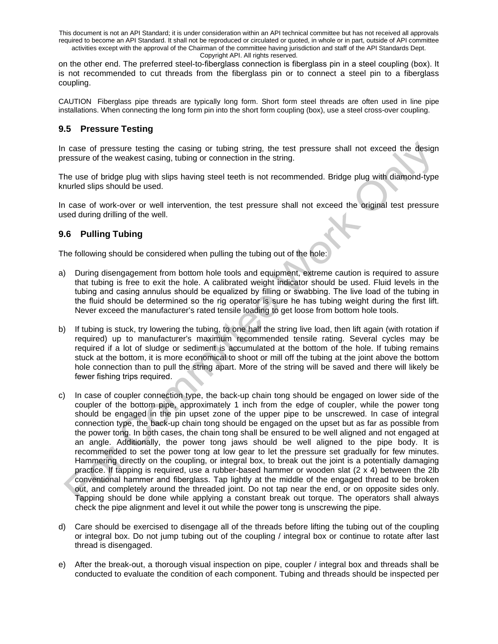on the other end. The preferred steel-to-fiberglass connection is fiberglass pin in a steel coupling (box). It is not recommended to cut threads from the fiberglass pin or to connect a steel pin to a fiberglass coupling.

CAUTION Fiberglass pipe threads are typically long form. Short form steel threads are often used in line pipe installations. When connecting the long form pin into the short form coupling (box), use a steel cross-over coupling.

#### **9.5 Pressure Testing**

In case of pressure testing the casing or tubing string, the test pressure shall not exceed the design pressure of the weakest casing, tubing or connection in the string.

The use of bridge plug with slips having steel teeth is not recommended. Bridge plug with diamond-type knurled slips should be used.

In case of work-over or well intervention, the test pressure shall not exceed the original test pressure used during drilling of the well.

#### **9.6 Pulling Tubing**

The following should be considered when pulling the tubing out of the hole:

- a) During disengagement from bottom hole tools and equipment, extreme caution is required to assure that tubing is free to exit the hole. A calibrated weight indicator should be used. Fluid levels in the tubing and casing annulus should be equalized by filling or swabbing. The live load of the tubing in the fluid should be determined so the rig operator is sure he has tubing weight during the first lift. Never exceed the manufacturer's rated tensile loading to get loose from bottom hole tools.
- b) If tubing is stuck, try lowering the tubing, to one half the string live load, then lift again (with rotation if required) up to manufacturer's maximum recommended tensile rating. Several cycles may be required if a lot of sludge or sediment is accumulated at the bottom of the hole. If tubing remains stuck at the bottom, it is more economical to shoot or mill off the tubing at the joint above the bottom hole connection than to pull the string apart. More of the string will be saved and there will likely be fewer fishing trips required.
- c) In case of coupler connection type, the back-up chain tong should be engaged on lower side of the coupler of the bottom pipe, approximately 1 inch from the edge of coupler, while the power tong should be engaged in the pin upset zone of the upper pipe to be unscrewed. In case of integral connection type, the back-up chain tong should be engaged on the upset but as far as possible from the power tong. In both cases, the chain tong shall be ensured to be well aligned and not engaged at an angle. Additionally, the power tong jaws should be well aligned to the pipe body. It is recommended to set the power tong at low gear to let the pressure set gradually for few minutes. Hammering directly on the coupling, or integral box, to break out the joint is a potentially damaging practice. If tapping is required, use a rubber-based hammer or wooden slat (2 x 4) between the 2lb conventional hammer and fiberglass. Tap lightly at the middle of the engaged thread to be broken out, and completely around the threaded joint. Do not tap near the end, or on opposite sides only. Tapping should be done while applying a constant break out torque. The operators shall always check the pipe alignment and level it out while the power tong is unscrewing the pipe.
- d) Care should be exercised to disengage all of the threads before lifting the tubing out of the coupling or integral box. Do not jump tubing out of the coupling / integral box or continue to rotate after last thread is disengaged.
- e) After the break-out, a thorough visual inspection on pipe, coupler / integral box and threads shall be conducted to evaluate the condition of each component. Tubing and threads should be inspected per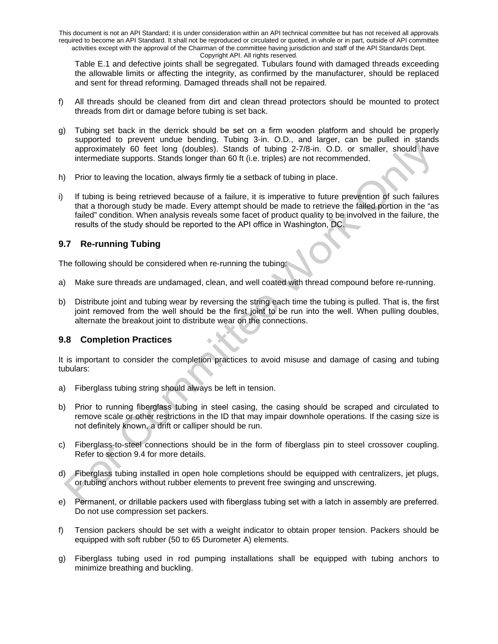Table E.1 and defective joints shall be segregated. Tubulars found with damaged threads exceeding the allowable limits or affecting the integrity, as confirmed by the manufacturer, should be replaced and sent for thread reforming. Damaged threads shall not be repaired.

- f) All threads should be cleaned from dirt and clean thread protectors should be mounted to protect threads from dirt or damage before tubing is set back.
- g) Tubing set back in the derrick should be set on a firm wooden platform and should be properly supported to prevent undue bending. Tubing 3-in. O.D., and larger, can be pulled in stands approximately 60 feet long (doubles). Stands of tubing 2-7/8-in. O.D. or smaller, should have intermediate supports. Stands longer than 60 ft (i.e. triples) are not recommended.
- h) Prior to leaving the location, always firmly tie a setback of tubing in place.
- i) If tubing is being retrieved because of a failure, it is imperative to future prevention of such failures that a thorough study be made. Every attempt should be made to retrieve the failed portion in the "as failed" condition. When analysis reveals some facet of product quality to be involved in the failure, the results of the study should be reported to the API office in Washington, DC.

# **9.7 Re-running Tubing**

The following should be considered when re-running the tubing:

- a) Make sure threads are undamaged, clean, and well coated with thread compound before re-running.
- b) Distribute joint and tubing wear by reversing the string each time the tubing is pulled. That is, the first joint removed from the well should be the first joint to be run into the well. When pulling doubles, alternate the breakout joint to distribute wear on the connections.

# **9.8 Completion Practices**

It is important to consider the completion practices to avoid misuse and damage of casing and tubing tubulars:

- a) Fiberglass tubing string should always be left in tension.
- b) Prior to running fiberglass tubing in steel casing, the casing should be scraped and circulated to remove scale or other restrictions in the ID that may impair downhole operations. If the casing size is not definitely known, a drift or calliper should be run.
- c) Fiberglass-to-steel connections should be in the form of fiberglass pin to steel crossover coupling. Refer to section [9.4](#page-10-0) for more details.
- d) Fiberglass tubing installed in open hole completions should be equipped with centralizers, jet plugs, or tubing anchors without rubber elements to prevent free swinging and unscrewing.
- e) Permanent, or drillable packers used with fiberglass tubing set with a latch in assembly are preferred. Do not use compression set packers.
- f) Tension packers should be set with a weight indicator to obtain proper tension. Packers should be equipped with soft rubber (50 to 65 Durometer A) elements.
- g) Fiberglass tubing used in rod pumping installations shall be equipped with tubing anchors to minimize breathing and buckling.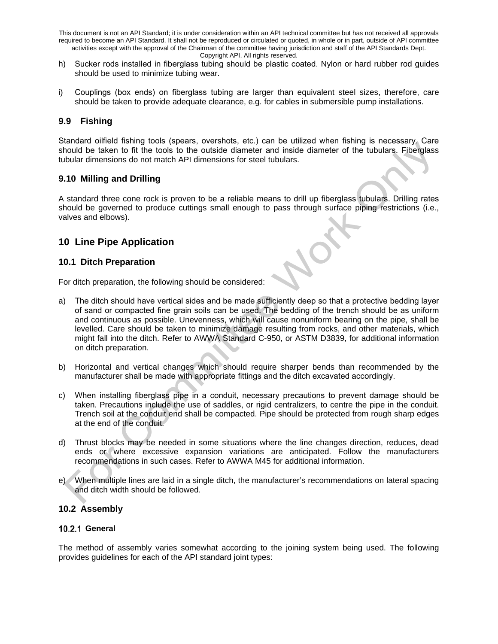- h) Sucker rods installed in fiberglass tubing should be plastic coated. Nylon or hard rubber rod guides should be used to minimize tubing wear.
- i) Couplings (box ends) on fiberglass tubing are larger than equivalent steel sizes, therefore, care should be taken to provide adequate clearance, e.g. for cables in submersible pump installations.

#### **9.9 Fishing**

Standard oilfield fishing tools (spears, overshots, etc.) can be utilized when fishing is necessary. Care should be taken to fit the tools to the outside diameter and inside diameter of the tubulars. Fiberglass tubular dimensions do not match API dimensions for steel tubulars.

#### **9.10 Milling and Drilling**

A standard three cone rock is proven to be a reliable means to drill up fiberglass tubulars. Drilling rates should be governed to produce cuttings small enough to pass through surface piping restrictions (i.e., valves and elbows).

# **10 Line Pipe Application**

#### **10.1 Ditch Preparation**

For ditch preparation, the following should be considered:

- a) The ditch should have vertical sides and be made sufficiently deep so that a protective bedding layer of sand or compacted fine grain soils can be used. The bedding of the trench should be as uniform and continuous as possible. Unevenness, which will cause nonuniform bearing on the pipe, shall be levelled. Care should be taken to minimize damage resulting from rocks, and other materials, which might fall into the ditch. Refer to AWWA Standard C-950, or ASTM D3839, for additional information on ditch preparation.
- b) Horizontal and vertical changes which should require sharper bends than recommended by the manufacturer shall be made with appropriate fittings and the ditch excavated accordingly.
- c) When installing fiberglass pipe in a conduit, necessary precautions to prevent damage should be taken. Precautions include the use of saddles, or rigid centralizers, to centre the pipe in the conduit. Trench soil at the conduit end shall be compacted. Pipe should be protected from rough sharp edges at the end of the conduit.
- d) Thrust blocks may be needed in some situations where the line changes direction, reduces, dead ends or where excessive expansion variations are anticipated. Follow the manufacturers recommendations in such cases. Refer to AWWA M45 for additional information.
- e) When multiple lines are laid in a single ditch, the manufacturer's recommendations on lateral spacing and ditch width should be followed.

# **10.2 Assembly**

#### **10.2.1 General**

The method of assembly varies somewhat according to the joining system being used. The following provides guidelines for each of the API standard joint types: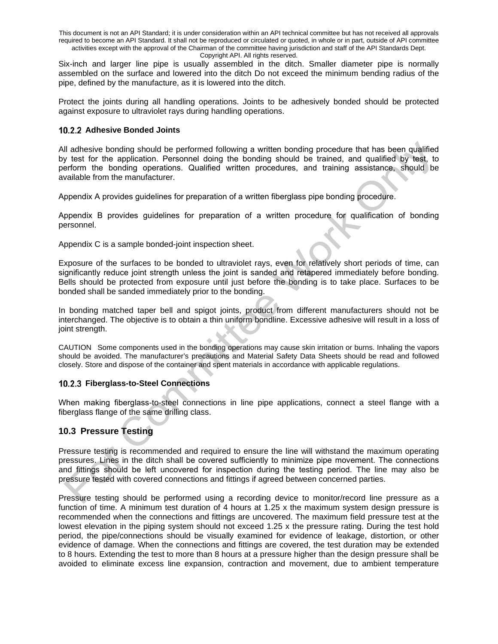Six-inch and larger line pipe is usually assembled in the ditch. Smaller diameter pipe is normally assembled on the surface and lowered into the ditch Do not exceed the minimum bending radius of the pipe, defined by the manufacture, as it is lowered into the ditch.

Protect the joints during all handling operations. Joints to be adhesively bonded should be protected against exposure to ultraviolet rays during handling operations.

#### **Adhesive Bonded Joints**

All adhesive bonding should be performed following a written bonding procedure that has been qualified by test for the application. Personnel doing the bonding should be trained, and qualified by test, to perform the bonding operations. Qualified written procedures, and training assistance, should be available from the manufacturer.

Appendix A provides guidelines for preparation of a written fiberglass pipe bonding procedure.

Appendix B provides guidelines for preparation of a written procedure for qualification of bonding personnel.

Appendix C is a sample bonded-joint inspection sheet.

Exposure of the surfaces to be bonded to ultraviolet rays, even for relatively short periods of time, can significantly reduce joint strength unless the joint is sanded and retapered immediately before bonding. Bells should be protected from exposure until just before the bonding is to take place. Surfaces to be bonded shall be sanded immediately prior to the bonding.

In bonding matched taper bell and spigot joints, product from different manufacturers should not be interchanged. The objective is to obtain a thin uniform bondline. Excessive adhesive will result in a loss of joint strength.

CAUTION Some components used in the bonding operations may cause skin irritation or burns. Inhaling the vapors should be avoided. The manufacturer's precautions and Material Safety Data Sheets should be read and followed closely. Store and dispose of the container and spent materials in accordance with applicable regulations.

#### **Fiberglass-to-Steel Connections**

When making fiberglass-to-steel connections in line pipe applications, connect a steel flange with a fiberglass flange of the same drilling class.

# **10.3 Pressure Testing**

Pressure testing is recommended and required to ensure the line will withstand the maximum operating pressures. Lines in the ditch shall be covered sufficiently to minimize pipe movement. The connections and fittings should be left uncovered for inspection during the testing period. The line may also be pressure tested with covered connections and fittings if agreed between concerned parties.

Pressure testing should be performed using a recording device to monitor/record line pressure as a function of time. A minimum test duration of 4 hours at 1.25 x the maximum system design pressure is recommended when the connections and fittings are uncovered. The maximum field pressure test at the lowest elevation in the piping system should not exceed 1.25 x the pressure rating. During the test hold period, the pipe/connections should be visually examined for evidence of leakage, distortion, or other evidence of damage. When the connections and fittings are covered, the test duration may be extended to 8 hours. Extending the test to more than 8 hours at a pressure higher than the design pressure shall be avoided to eliminate excess line expansion, contraction and movement, due to ambient temperature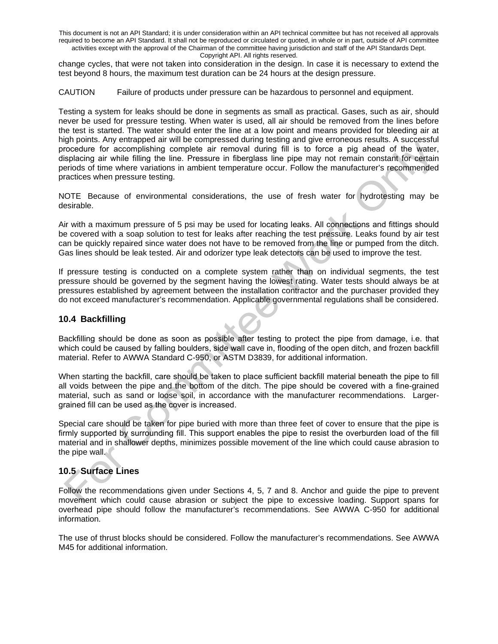change cycles, that were not taken into consideration in the design. In case it is necessary to extend the test beyond 8 hours, the maximum test duration can be 24 hours at the design pressure.

CAUTION Failure of products under pressure can be hazardous to personnel and equipment.

Testing a system for leaks should be done in segments as small as practical. Gases, such as air, should never be used for pressure testing. When water is used, all air should be removed from the lines before the test is started. The water should enter the line at a low point and means provided for bleeding air at high points. Any entrapped air will be compressed during testing and give erroneous results. A successful procedure for accomplishing complete air removal during fill is to force a pig ahead of the water, displacing air while filling the line. Pressure in fiberglass line pipe may not remain constant for certain periods of time where variations in ambient temperature occur. Follow the manufacturer's recommended practices when pressure testing.

NOTE Because of environmental considerations, the use of fresh water for hydrotesting may be desirable.

Air with a maximum pressure of 5 psi may be used for locating leaks. All connections and fittings should be covered with a soap solution to test for leaks after reaching the test pressure. Leaks found by air test can be quickly repaired since water does not have to be removed from the line or pumped from the ditch. Gas lines should be leak tested. Air and odorizer type leak detectors can be used to improve the test.

If pressure testing is conducted on a complete system rather than on individual segments, the test pressure should be governed by the segment having the lowest rating. Water tests should always be at pressures established by agreement between the installation contractor and the purchaser provided they do not exceed manufacturer's recommendation. Applicable governmental regulations shall be considered.

#### **10.4 Backfilling**

Backfilling should be done as soon as possible after testing to protect the pipe from damage, i.e. that which could be caused by falling boulders, side wall cave in, flooding of the open ditch, and frozen backfill material. Refer to AWWA Standard C-950, or ASTM D3839, for additional information.

When starting the backfill, care should be taken to place sufficient backfill material beneath the pipe to fill all voids between the pipe and the bottom of the ditch. The pipe should be covered with a fine-grained material, such as sand or loose soil, in accordance with the manufacturer recommendations. Largergrained fill can be used as the cover is increased.

Special care should be taken for pipe buried with more than three feet of cover to ensure that the pipe is firmly supported by surrounding fill. This support enables the pipe to resist the overburden load of the fill material and in shallower depths, minimizes possible movement of the line which could cause abrasion to the pipe wall.

# **10.5 Surface Lines**

Follow the recommendations given under Sections 4, 5, 7 and 8. Anchor and guide the pipe to prevent movement which could cause abrasion or subject the pipe to excessive loading. Support spans for overhead pipe should follow the manufacturer's recommendations. See AWWA C-950 for additional information.

The use of thrust blocks should be considered. Follow the manufacturer's recommendations. See AWWA M45 for additional information.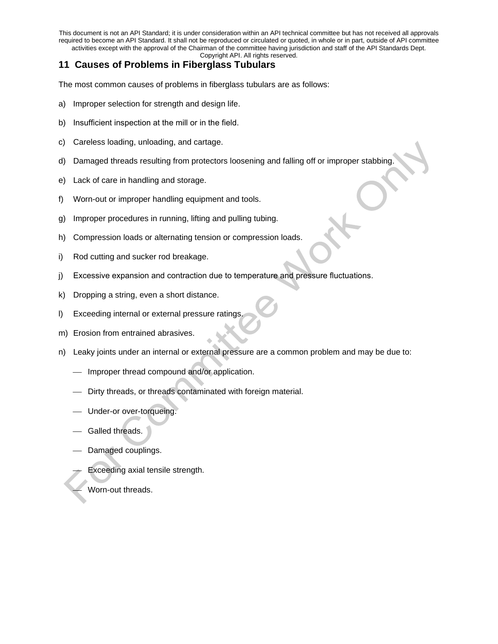# **11 Causes of Problems in Fiberglass Tubulars**

The most common causes of problems in fiberglass tubulars are as follows:

- a) Improper selection for strength and design life.
- b) Insufficient inspection at the mill or in the field.
- c) Careless loading, unloading, and cartage.
- d) Damaged threads resulting from protectors loosening and falling off or improper stabbing.
- e) Lack of care in handling and storage.
- f) Worn-out or improper handling equipment and tools.
- g) Improper procedures in running, lifting and pulling tubing.
- h) Compression loads or alternating tension or compression loads.
- i) Rod cutting and sucker rod breakage.
- j) Excessive expansion and contraction due to temperature and pressure fluctuations.
- k) Dropping a string, even a short distance.
- l) Exceeding internal or external pressure ratings.
- m) Erosion from entrained abrasives.
- n) Leaky joints under an internal or external pressure are a common problem and may be due to:
	- Improper thread compound and/or application.
	- Dirty threads, or threads contaminated with foreign material.
	- Under-or over-torqueing.
	- Galled threads.
	- Damaged couplings.
		- Exceeding axial tensile strength.

#### Worn-out threads.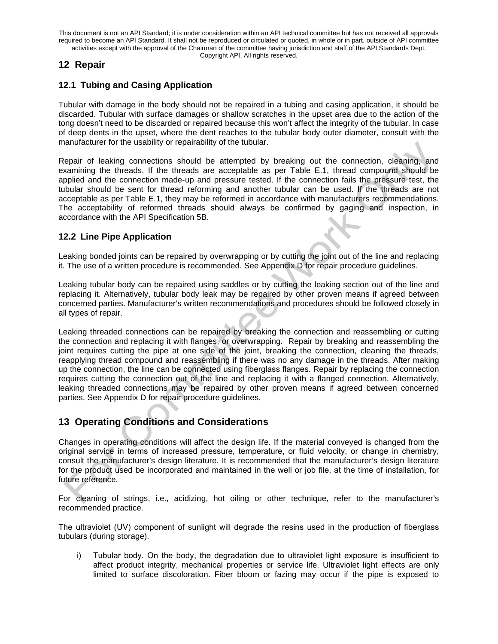# **12 Repair**

### **12.1 Tubing and Casing Application**

Tubular with damage in the body should not be repaired in a tubing and casing application, it should be discarded. Tubular with surface damages or shallow scratches in the upset area due to the action of the tong doesn't need to be discarded or repaired because this won't affect the integrity of the tubular. In case of deep dents in the upset, where the dent reaches to the tubular body outer diameter, consult with the manufacturer for the usability or repairability of the tubular.

Repair of leaking connections should be attempted by breaking out the connection, cleaning, and examining the threads. If the threads are acceptable as per Table E.1, thread compound should be applied and the connection made-up and pressure tested. If the connection fails the pressure test, the tubular should be sent for thread reforming and another tubular can be used. If the threads are not acceptable as per Table E.1, they may be reformed in accordance with manufacturers recommendations. The acceptability of reformed threads should always be confirmed by gaging and inspection, in accordance with the API Specification 5B.

#### **12.2 Line Pipe Application**

Leaking bonded joints can be repaired by overwrapping or by cutting the joint out of the line and replacing it. The use of a written procedure is recommended. See Appendix D for repair procedure guidelines.

Leaking tubular body can be repaired using saddles or by cutting the leaking section out of the line and replacing it. Alternatively, tubular body leak may be repaired by other proven means if agreed between concerned parties. Manufacturer's written recommendations and procedures should be followed closely in all types of repair.

Leaking threaded connections can be repaired by breaking the connection and reassembling or cutting the connection and replacing it with flanges, or overwrapping. Repair by breaking and reassembling the joint requires cutting the pipe at one side of the joint, breaking the connection, cleaning the threads, reapplying thread compound and reassembling if there was no any damage in the threads. After making up the connection, the line can be connected using fiberglass flanges. Repair by replacing the connection requires cutting the connection out of the line and replacing it with a flanged connection. Alternatively, leaking threaded connections may be repaired by other proven means if agreed between concerned parties. See Appendix D for repair procedure guidelines.

# **13 Operating Conditions and Considerations**

Changes in operating conditions will affect the design life. If the material conveyed is changed from the original service in terms of increased pressure, temperature, or fluid velocity, or change in chemistry, consult the manufacturer's design literature. It is recommended that the manufacturer's design literature for the product used be incorporated and maintained in the well or job file, at the time of installation, for future reference.

For cleaning of strings, i.e., acidizing, hot oiling or other technique, refer to the manufacturer's recommended practice.

The ultraviolet (UV) component of sunlight will degrade the resins used in the production of fiberglass tubulars (during storage).

i) Tubular body. On the body, the degradation due to ultraviolet light exposure is insufficient to affect product integrity, mechanical properties or service life. Ultraviolet light effects are only limited to surface discoloration. Fiber bloom or fazing may occur if the pipe is exposed to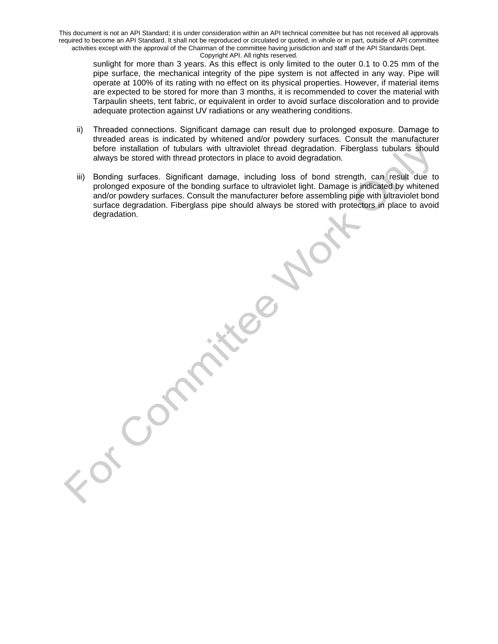sunlight for more than 3 years. As this effect is only limited to the outer 0.1 to 0.25 mm of the pipe surface, the mechanical integrity of the pipe system is not affected in any way. Pipe will operate at 100% of its rating with no effect on its physical properties. However, if material items are expected to be stored for more than 3 months, it is recommended to cover the material with Tarpaulin sheets, tent fabric, or equivalent in order to avoid surface discoloration and to provide adequate protection against UV radiations or any weathering conditions.

- ii) Threaded connections. Significant damage can result due to prolonged exposure. Damage to threaded areas is indicated by whitened and/or powdery surfaces. Consult the manufacturer before installation of tubulars with ultraviolet thread degradation. Fiberglass tubulars should always be stored with thread protectors in place to avoid degradation.
- iii) Bonding surfaces. Significant damage, including loss of bond strength, can result due to prolonged exposure of the bonding surface to ultraviolet light. Damage is indicated by whitened and/or powdery surfaces. Consult the manufacturer before assembling pipe with ultraviolet bond surface degradation. Fiberglass pipe should always be stored with protectors in place to avoid degradation.

of Com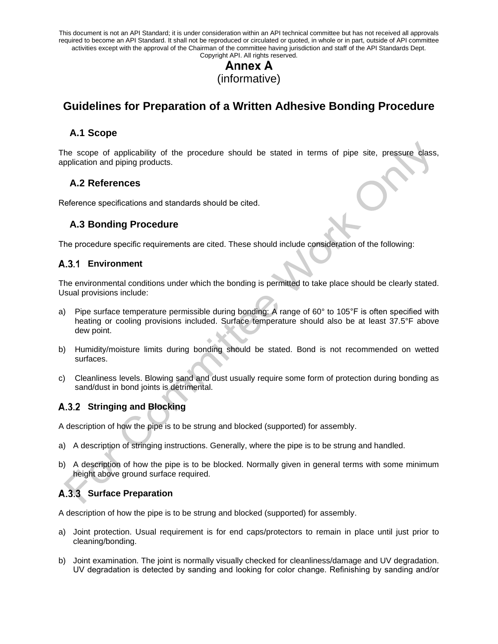# Annex A (informative)

# **Guidelines for Preparation of a Written Adhesive Bonding Procedure**

# **A.1 Scope**

The scope of applicability of the procedure should be stated in terms of pipe site, pressure class, application and piping products.

# **A.2 References**

Reference specifications and standards should be cited.

# **A.3 Bonding Procedure**

The procedure specific requirements are cited. These should include consideration of the following:

# **Environment**

The environmental conditions under which the bonding is permitted to take place should be clearly stated. Usual provisions include:

- a) Pipe surface temperature permissible during bonding: A range of 60° to 105°F is often specified with heating or cooling provisions included. Surface temperature should also be at least 37.5°F above dew point.
- b) Humidity/moisture limits during bonding should be stated. Bond is not recommended on wetted surfaces.
- c) Cleanliness levels. Blowing sand and dust usually require some form of protection during bonding as sand/dust in bond joints is detrimental.

# **Stringing and Blocking**

A description of how the pipe is to be strung and blocked (supported) for assembly.

- a) A description of stringing instructions. Generally, where the pipe is to be strung and handled.
- b) A description of how the pipe is to be blocked. Normally given in general terms with some minimum height above ground surface required.

# A.3.3 Surface Preparation

A description of how the pipe is to be strung and blocked (supported) for assembly.

- a) Joint protection. Usual requirement is for end caps/protectors to remain in place until just prior to cleaning/bonding.
- b) Joint examination. The joint is normally visually checked for cleanliness/damage and UV degradation. UV degradation is detected by sanding and looking for color change. Refinishing by sanding and/or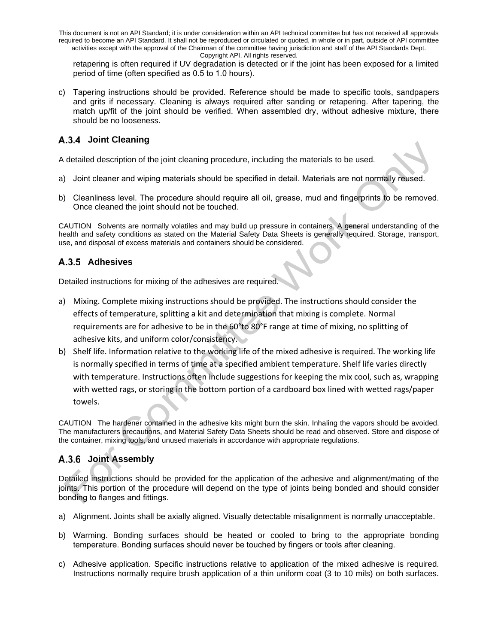retapering is often required if UV degradation is detected or if the joint has been exposed for a limited period of time (often specified as 0.5 to 1.0 hours).

c) Tapering instructions should be provided. Reference should be made to specific tools, sandpapers and grits if necessary. Cleaning is always required after sanding or retapering. After tapering, the match up/fit of the joint should be verified. When assembled dry, without adhesive mixture, there should be no looseness.

# A.3.4 Joint Cleaning

A detailed description of the joint cleaning procedure, including the materials to be used.

- a) Joint cleaner and wiping materials should be specified in detail. Materials are not normally reused.
- b) Cleanliness level. The procedure should require all oil, grease, mud and fingerprints to be removed. Once cleaned the joint should not be touched.

CAUTION Solvents are normally volatiles and may build up pressure in containers. A general understanding of the health and safety conditions as stated on the Material Safety Data Sheets is generally required. Storage, transport, use, and disposal of excess materials and containers should be considered.

# A.3.5 Adhesives

Detailed instructions for mixing of the adhesives are required.

- a) Mixing. Complete mixing instructions should be provided. The instructions should consider the effects of temperature, splitting a kit and determination that mixing is complete. Normal requirements are for adhesive to be in the 60°to 80°F range at time of mixing, no splitting of adhesive kits, and uniform color/consistency.
- b) Shelf life. Information relative to the working life of the mixed adhesive is required. The working life is normally specified in terms of time at a specified ambient temperature. Shelf life varies directly with temperature. Instructions often include suggestions for keeping the mix cool, such as, wrapping with wetted rags, or storing in the bottom portion of a cardboard box lined with wetted rags/paper towels.

CAUTION The hardener contained in the adhesive kits might burn the skin. Inhaling the vapors should be avoided. The manufacturers precautions, and Material Safety Data Sheets should be read and observed. Store and dispose of the container, mixing tools, and unused materials in accordance with appropriate regulations.

# A.3.6 Joint Assembly

Detailed instructions should be provided for the application of the adhesive and alignment/mating of the joints. This portion of the procedure will depend on the type of joints being bonded and should consider bonding to flanges and fittings.

- a) Alignment. Joints shall be axially aligned. Visually detectable misalignment is normally unacceptable.
- b) Warming. Bonding surfaces should be heated or cooled to bring to the appropriate bonding temperature. Bonding surfaces should never be touched by fingers or tools after cleaning.
- c) Adhesive application. Specific instructions relative to application of the mixed adhesive is required. Instructions normally require brush application of a thin uniform coat (3 to 10 mils) on both surfaces.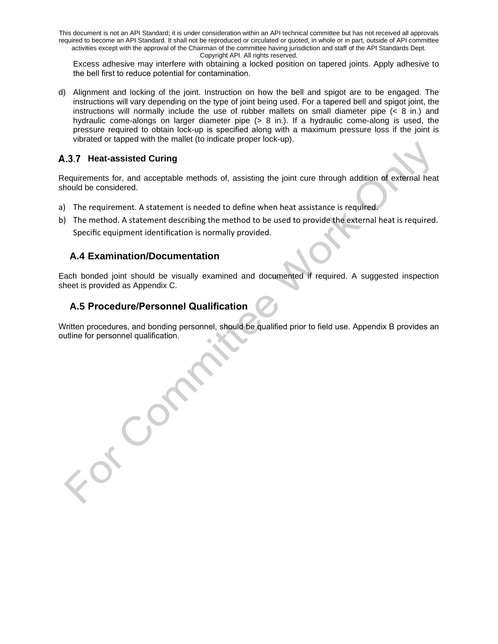Excess adhesive may interfere with obtaining a locked position on tapered joints. Apply adhesive to the bell first to reduce potential for contamination.

d) Alignment and locking of the joint. Instruction on how the bell and spigot are to be engaged. The instructions will vary depending on the type of joint being used. For a tapered bell and spigot joint, the instructions will normally include the use of rubber mallets on small diameter pipe  $( $8$  in.) and$ hydraulic come-alongs on larger diameter pipe (> 8 in.). If a hydraulic come-along is used, the pressure required to obtain lock-up is specified along with a maximum pressure loss if the joint is vibrated or tapped with the mallet (to indicate proper lock-up).

# **Heat-assisted Curing**

Requirements for, and acceptable methods of, assisting the joint cure through addition of external heat should be considered.

- a) The requirement. A statement is needed to define when heat assistance is required.
- b) The method. A statement describing the method to be used to provide the external heat is required. Specific equipment identification is normally provided.

# **A.4 Examination/Documentation**

Each bonded joint should be visually examined and documented if required. A suggested inspection sheet is provided as Appendix C.

# **A.5 Procedure/Personnel Qualification**

Written procedures, and bonding personnel, should be qualified prior to field use. Appendix B provides an outline for personnel qualification.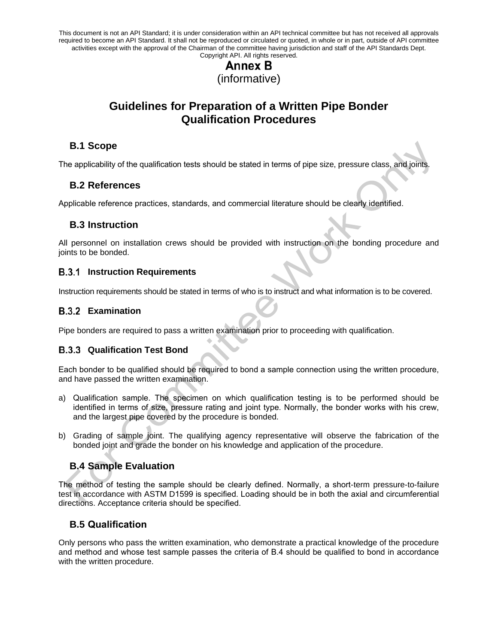# Annex B (informative)

# **Guidelines for Preparation of a Written Pipe Bonder Qualification Procedures**

# **B.1 Scope**

The applicability of the qualification tests should be stated in terms of pipe size, pressure class, and joints

# **B.2 References**

Applicable reference practices, standards, and commercial literature should be clearly identified.

# **B.3 Instruction**

All personnel on installation crews should be provided with instruction on the bonding procedure and joints to be bonded.

# **B.3.1 Instruction Requirements**

Instruction requirements should be stated in terms of who is to instruct and what information is to be covered.

# **Examination**

Pipe bonders are required to pass a written examination prior to proceeding with qualification.

# **B.3.3 Qualification Test Bond**

Each bonder to be qualified should be required to bond a sample connection using the written procedure, and have passed the written examination.

- a) Qualification sample. The specimen on which qualification testing is to be performed should be identified in terms of size, pressure rating and joint type. Normally, the bonder works with his crew, and the largest pipe covered by the procedure is bonded.
- b) Grading of sample joint. The qualifying agency representative will observe the fabrication of the bonded joint and grade the bonder on his knowledge and application of the procedure.

# **B.4 Sample Evaluation**

The method of testing the sample should be clearly defined. Normally, a short-term pressure-to-failure test in accordance with ASTM D1599 is specified. Loading should be in both the axial and circumferential directions. Acceptance criteria should be specified.

# **B.5 Qualification**

Only persons who pass the written examination, who demonstrate a practical knowledge of the procedure and method and whose test sample passes the criteria of B.4 should be qualified to bond in accordance with the written procedure.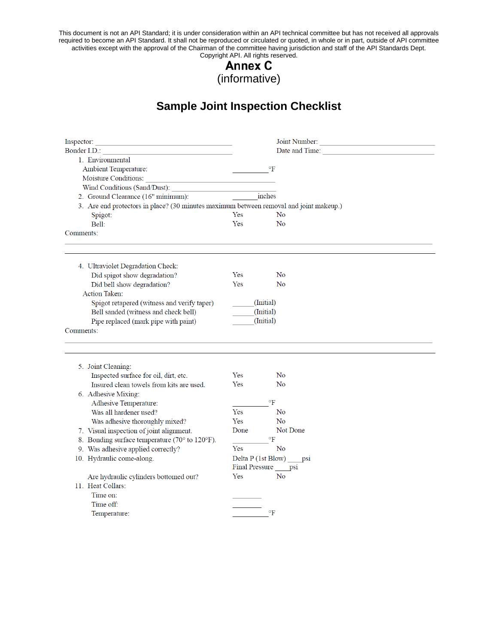# **Annex C** (informative)

# **Sample Joint Inspection Checklist**

| Inspector:<br><u> 1980 - Johann Barn, mars eta bainar eta baina eta baina eta baina eta baina eta baina eta baina eta baina e</u> | Joint Number:                                |                |  |  |
|-----------------------------------------------------------------------------------------------------------------------------------|----------------------------------------------|----------------|--|--|
|                                                                                                                                   |                                              |                |  |  |
| 1. Environmental                                                                                                                  |                                              |                |  |  |
| <b>Ambient Temperature:</b>                                                                                                       |                                              | $\mathrm{P}$   |  |  |
| Moisture Conditions:<br><u> 1980 - Johann Barbara, martxa alemaniar a</u>                                                         |                                              |                |  |  |
| Wind Conditions (Sand/Dust):                                                                                                      |                                              |                |  |  |
| 2. Ground Clearance (16" minimum):                                                                                                |                                              | inches         |  |  |
| 3. Are end protectors in place? (30 minutes maximum between removal and joint makeup.)                                            |                                              |                |  |  |
| Spigot:                                                                                                                           | Yes                                          | N <sub>o</sub> |  |  |
| Bell:                                                                                                                             | Yes                                          | No             |  |  |
| Comments:                                                                                                                         |                                              |                |  |  |
| 4. Ultraviolet Degradation Check:                                                                                                 |                                              |                |  |  |
| Did spigot show degradation?                                                                                                      | Yes                                          | No             |  |  |
| Did bell show degradation?                                                                                                        | Yes                                          | No             |  |  |
| <b>Action Taken:</b>                                                                                                              |                                              |                |  |  |
| Spigot retapered (witness and verify taper)                                                                                       |                                              | (Initial)      |  |  |
| Bell sanded (witness and check bell)                                                                                              | (Initial)                                    |                |  |  |
| Pipe replaced (mark pipe with paint)                                                                                              | (Initial)                                    |                |  |  |
| Comments:                                                                                                                         |                                              |                |  |  |
|                                                                                                                                   |                                              |                |  |  |
|                                                                                                                                   |                                              |                |  |  |
| 5. Joint Cleaning:                                                                                                                |                                              |                |  |  |
| Inspected surface for oil, dirt, etc.                                                                                             | Yes                                          | No             |  |  |
| Insured clean towels from kits are used.                                                                                          | Yes                                          | No             |  |  |
| 6. Adhesive Mixing:                                                                                                               |                                              |                |  |  |
| Adhesive Temperature:                                                                                                             | $\mathrm{P}$                                 |                |  |  |
| Was all hardener used?                                                                                                            | Yes                                          | N <sub>0</sub> |  |  |
| Was adhesive thoroughly mixed?                                                                                                    | <b>Yes</b>                                   | N <sub>0</sub> |  |  |
| 7. Visual inspection of joint alignment.                                                                                          | Done                                         | Not Done       |  |  |
| 8. Bonding surface temperature (70 $\textdegree$ to 120 $\textdegree$ F).                                                         |                                              | $\circ$ F      |  |  |
| 9. Was adhesive applied correctly?                                                                                                | Yes                                          | No             |  |  |
| 10. Hydraulic come-along.                                                                                                         | Delta P (1st Blow) psi<br>Final Pressure psi |                |  |  |
| Are hydraulic cylinders bottomed out?                                                                                             | Yes                                          | N <sub>o</sub> |  |  |
| 11. Heat Collars:                                                                                                                 |                                              |                |  |  |
| Time on:                                                                                                                          |                                              |                |  |  |
| Time off:                                                                                                                         |                                              |                |  |  |
| Temperature:                                                                                                                      |                                              | $\circ$ F      |  |  |
|                                                                                                                                   |                                              |                |  |  |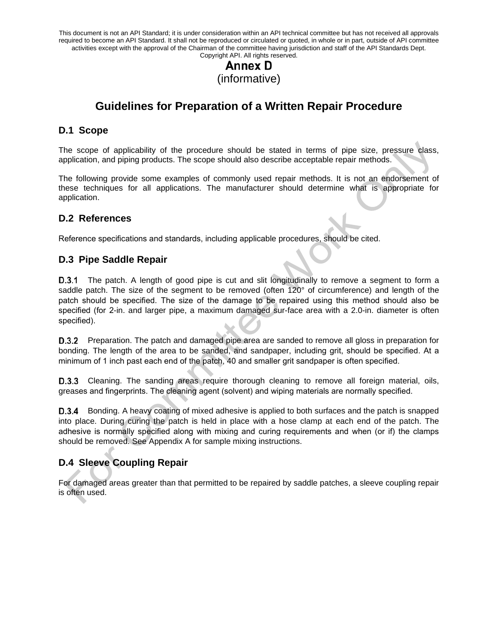# **Annex D** (informative)

# **Guidelines for Preparation of a Written Repair Procedure**

# **D.1 Scope**

The scope of applicability of the procedure should be stated in terms of pipe size, pressure class, application, and piping products. The scope should also describe acceptable repair methods.

The following provide some examples of commonly used repair methods. It is not an endorsement of these techniques for all applications. The manufacturer should determine what is appropriate for application.

# **D.2 References**

Reference specifications and standards, including applicable procedures, should be cited.

# **D.3 Pipe Saddle Repair**

**D.3.1** The patch. A length of good pipe is cut and slit longitudinally to remove a segment to form a saddle patch. The size of the segment to be removed (often 120° of circumference) and length of the patch should be specified. The size of the damage to be repaired using this method should also be specified (for 2-in. and larger pipe, a maximum damaged sur-face area with a 2.0-in. diameter is often specified).

**D.3.2** Preparation. The patch and damaged pipe area are sanded to remove all gloss in preparation for bonding. The length of the area to be sanded, and sandpaper, including grit, should be specified. At a minimum of 1 inch past each end of the patch, 40 and smaller grit sandpaper is often specified.

**D.3.3** Cleaning. The sanding areas require thorough cleaning to remove all foreign material, oils, greases and fingerprints. The cleaning agent (solvent) and wiping materials are normally specified.

**D.3.4** Bonding. A heavy coating of mixed adhesive is applied to both surfaces and the patch is snapped into place. During curing the patch is held in place with a hose clamp at each end of the patch. The adhesive is normally specified along with mixing and curing requirements and when (or if) the clamps should be removed. See Appendix A for sample mixing instructions.

# **D.4 Sleeve Coupling Repair**

For damaged areas greater than that permitted to be repaired by saddle patches, a sleeve coupling repair is often used.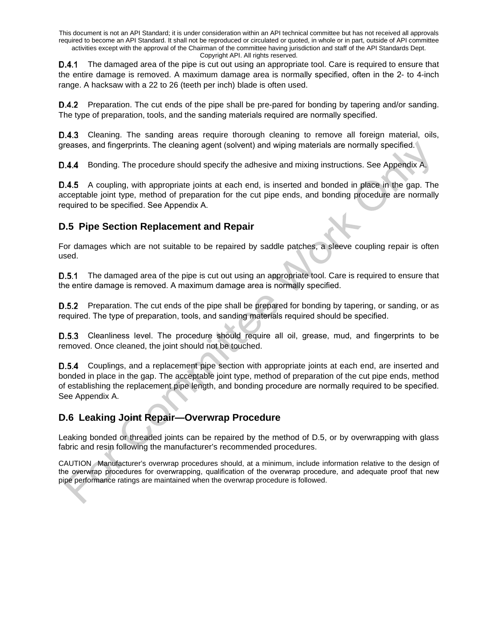**D.4.1** The damaged area of the pipe is cut out using an appropriate tool. Care is required to ensure that the entire damage is removed. A maximum damage area is normally specified, often in the 2- to 4-inch range. A hacksaw with a 22 to 26 (teeth per inch) blade is often used.

**D.4.2** Preparation. The cut ends of the pipe shall be pre-pared for bonding by tapering and/or sanding. The type of preparation, tools, and the sanding materials required are normally specified.

**D.4.3** Cleaning. The sanding areas require thorough cleaning to remove all foreign material, oils, greases, and fingerprints. The cleaning agent (solvent) and wiping materials are normally specified.

**D.4.4** Bonding. The procedure should specify the adhesive and mixing instructions. See Appendix A.

**D.4.5** A coupling, with appropriate joints at each end, is inserted and bonded in place in the gap. The acceptable joint type, method of preparation for the cut pipe ends, and bonding procedure are normally required to be specified. See Appendix A.

# <span id="page-26-0"></span>**D.5 Pipe Section Replacement and Repair**

For damages which are not suitable to be repaired by saddle patches, a sleeve coupling repair is often used.

**D.5.1** The damaged area of the pipe is cut out using an appropriate tool. Care is required to ensure that the entire damage is removed. A maximum damage area is normally specified.

**D.5.2** Preparation. The cut ends of the pipe shall be prepared for bonding by tapering, or sanding, or as required. The type of preparation, tools, and sanding materials required should be specified.

**D.5.3** Cleanliness level. The procedure should require all oil, grease, mud, and fingerprints to be removed. Once cleaned, the joint should not be touched.

**D.5.4** Couplings, and a replacement pipe section with appropriate joints at each end, are inserted and bonded in place in the gap. The acceptable joint type, method of preparation of the cut pipe ends, method of establishing the replacement pipe length, and bonding procedure are normally required to be specified. See Appendix A.

# **D.6 Leaking Joint Repair—Overwrap Procedure**

Leaking bonded or threaded joints can be repaired by the method of [D.5,](#page-26-0) or by overwrapping with glass fabric and resin following the manufacturer's recommended procedures.

CAUTION Manufacturer's overwrap procedures should, at a minimum, include information relative to the design of the overwrap procedures for overwrapping, qualification of the overwrap procedure, and adequate proof that new pipe performance ratings are maintained when the overwrap procedure is followed.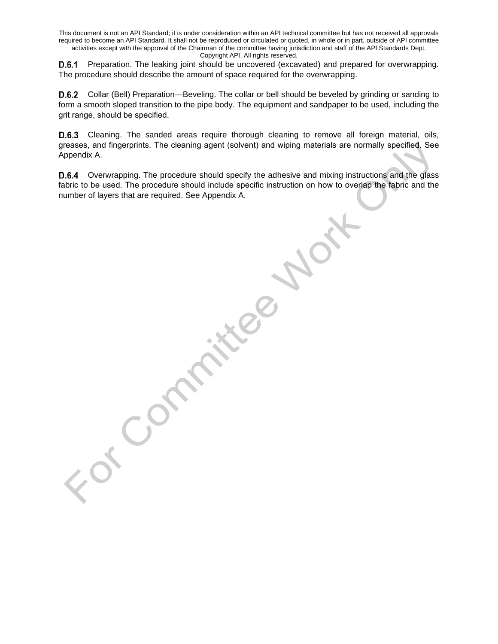**D.6.1** Preparation. The leaking joint should be uncovered (excavated) and prepared for overwrapping. The procedure should describe the amount of space required for the overwrapping.

**D.6.2** Collar (Bell) Preparation—Beveling. The collar or bell should be beveled by grinding or sanding to form a smooth sloped transition to the pipe body. The equipment and sandpaper to be used, including the grit range, should be specified.

**D.6.3** Cleaning. The sanded areas require thorough cleaning to remove all foreign material, oils, greases, and fingerprints. The cleaning agent (solvent) and wiping materials are normally specified. See Appendix A.

**D.6.4** Overwrapping. The procedure should specify the adhesive and mixing instructions and the glass fabric to be used. The procedure should include specific instruction on how to overlap the fabric and the number of layers that are required. See Appendix A.

or Control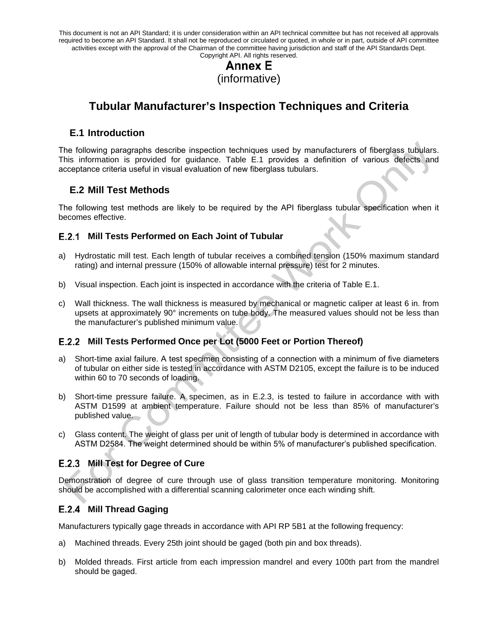# **Annex E** (informative)

# **Tubular Manufacturer's Inspection Techniques and Criteria**

# **E.1 Introduction**

The following paragraphs describe inspection techniques used by manufacturers of fiberglass tubulars. This information is provided for guidance. Table E.1 provides a definition of various defects and acceptance criteria useful in visual evaluation of new fiberglass tubulars.

# **E.2 Mill Test Methods**

The following test methods are likely to be required by the API fiberglass tubular specification when it becomes effective.

# **Mill Tests Performed on Each Joint of Tubular**

- a) Hydrostatic mill test. Each length of tubular receives a combined tension (150% maximum standard rating) and internal pressure (150% of allowable internal pressure) test for 2 minutes.
- b) Visual inspection. Each joint is inspected in accordance with the criteria of Table E.1.
- c) Wall thickness. The wall thickness is measured by mechanical or magnetic caliper at least 6 in. from upsets at approximately 90° increments on tube body. The measured values should not be less than the manufacturer's published minimum value.

# **Mill Tests Performed Once per Lot (5000 Feet or Portion Thereof)**

- a) Short-time axial failure. A test specimen consisting of a connection with a minimum of five diameters of tubular on either side is tested in accordance with ASTM D2105, except the failure is to be induced within 60 to 70 seconds of loading.
- b) Short-time pressure failure. A specimen, as in E.2.3, is tested to failure in accordance with with ASTM D1599 at ambient temperature. Failure should not be less than 85% of manufacturer's published value.
- c) Glass content. The weight of glass per unit of length of tubular body is determined in accordance with ASTM D2584. The weight determined should be within 5% of manufacturer's published specification.

# **Mill Test for Degree of Cure**

Demonstration of degree of cure through use of glass transition temperature monitoring. Monitoring should be accomplished with a differential scanning calorimeter once each winding shift.

# **E.2.4 Mill Thread Gaging**

Manufacturers typically gage threads in accordance with API RP 5B1 at the following frequency:

- a) Machined threads. Every 25th joint should be gaged (both pin and box threads).
- b) Molded threads. First article from each impression mandrel and every 100th part from the mandrel should be gaged.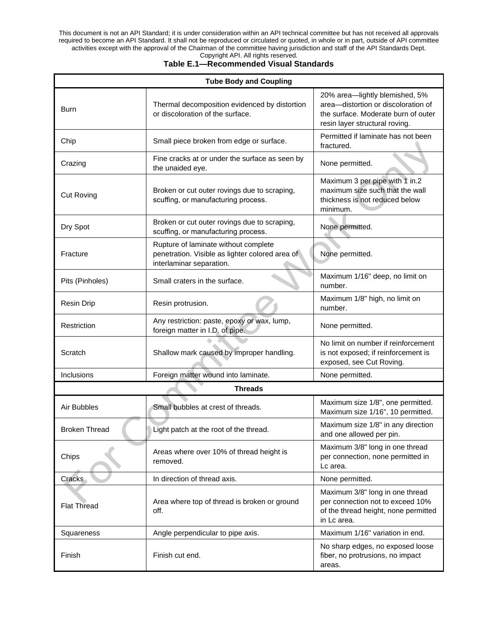#### **Table E.1—Recommended Visual Standards**

| <b>Tube Body and Coupling</b> |                                                                                                                     |                                                                                                                                                |  |  |
|-------------------------------|---------------------------------------------------------------------------------------------------------------------|------------------------------------------------------------------------------------------------------------------------------------------------|--|--|
| Burn                          | Thermal decomposition evidenced by distortion<br>or discoloration of the surface.                                   | 20% area-lightly blemished, 5%<br>area-distortion or discoloration of<br>the surface. Moderate burn of outer<br>resin layer structural roving. |  |  |
| Chip                          | Small piece broken from edge or surface.                                                                            | Permitted if laminate has not been<br>fractured.                                                                                               |  |  |
| Crazing                       | Fine cracks at or under the surface as seen by<br>the unaided eye.                                                  | None permitted.                                                                                                                                |  |  |
| <b>Cut Roving</b>             | Broken or cut outer rovings due to scraping,<br>scuffing, or manufacturing process.                                 | Maximum 3 per pipe with 1 in.2<br>maximum size such that the wall<br>thickness is not reduced below<br>minimum.                                |  |  |
| Dry Spot                      | Broken or cut outer rovings due to scraping,<br>scuffing, or manufacturing process.                                 | None permitted.                                                                                                                                |  |  |
| Fracture                      | Rupture of laminate without complete<br>penetration. Visible as lighter colored area of<br>interlaminar separation. | None permitted.                                                                                                                                |  |  |
| Pits (Pinholes)               | Small craters in the surface.                                                                                       | Maximum 1/16" deep, no limit on<br>number.                                                                                                     |  |  |
| <b>Resin Drip</b>             | Resin protrusion.                                                                                                   | Maximum 1/8" high, no limit on<br>number.                                                                                                      |  |  |
| Restriction                   | Any restriction: paste, epoxy or wax, lump,<br>foreign matter in I.D. of pipe.                                      | None permitted.                                                                                                                                |  |  |
| Scratch                       | Shallow mark caused by improper handling.                                                                           | No limit on number if reinforcement<br>is not exposed; if reinforcement is<br>exposed, see Cut Roving.                                         |  |  |
| Inclusions                    | Foreign matter wound into laminate.                                                                                 | None permitted.                                                                                                                                |  |  |
| <b>Threads</b>                |                                                                                                                     |                                                                                                                                                |  |  |
| Air Bubbles                   | Small bubbles at crest of threads.                                                                                  | Maximum size 1/8", one permitted.<br>Maximum size 1/16", 10 permitted.                                                                         |  |  |
| <b>Broken Thread</b>          | Light patch at the root of the thread.                                                                              | Maximum size 1/8" in any direction<br>and one allowed per pin.                                                                                 |  |  |
| Chips                         | Areas where over 10% of thread height is<br>removed.                                                                | Maximum 3/8" long in one thread<br>per connection, none permitted in<br>Lc area.                                                               |  |  |
| Cracks                        | In direction of thread axis.                                                                                        | None permitted.                                                                                                                                |  |  |
| <b>Flat Thread</b>            | Area where top of thread is broken or ground<br>off.                                                                | Maximum 3/8" long in one thread<br>per connection not to exceed 10%<br>of the thread height, none permitted<br>in Lc area.                     |  |  |
| Squareness                    | Angle perpendicular to pipe axis.                                                                                   | Maximum 1/16" variation in end.                                                                                                                |  |  |
| Finish                        | Finish cut end.                                                                                                     | No sharp edges, no exposed loose<br>fiber, no protrusions, no impact<br>areas.                                                                 |  |  |